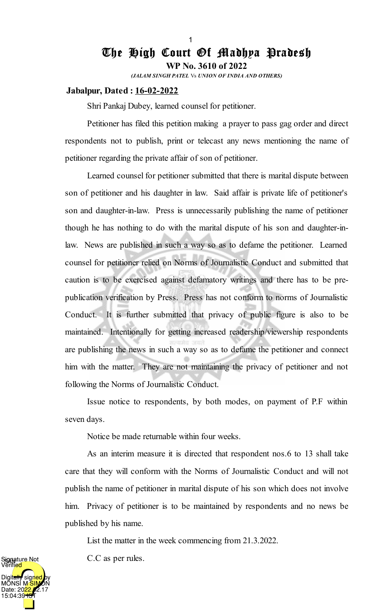## The High Court Of Madhya Pradesh **WP No. 3610 of 2022**

1

*(JALAM SINGH PATEL* Vs *UNION OF INDIA AND OTHERS)*

## **Jabalpur, Dated : 16-02-2022**

Shri Pankaj Dubey, learned counsel for petitioner.

Petitioner has filed this petition making a prayer to pass gag order and direct respondents not to publish, print or telecast any news mentioning the name of petitioner regarding the private affair of son of petitioner.

Learned counsel for petitioner submitted that there is marital dispute between son of petitioner and his daughter in law. Said affair is private life of petitioner's son and daughter-in-law. Press is unnecessarily publishing the name of petitioner though he has nothing to do with the marital dispute of his son and daughter-inlaw. News are published in such a way so as to defame the petitioner. Learned counsel for petitioner relied on Norms of Journalistic Conduct and submitted that caution is to be exercised against defamatory writings and there has to be prepublication verification by Press. Press has not conform to norms of Journalistic Conduct. It is further submitted that privacy of public figure is also to be maintained. Intentionally for getting increased readership/viewership respondents are publishing the news in such a way so as to defame the petitioner and connect him with the matter. They are not maintaining the privacy of petitioner and not following the Norms of Journalistic Conduct.

Issue notice to respondents, by both modes, on payment of P.F within seven days.

Notice be made returnable within four weeks.

As an interim measure it is directed that respondent nos.6 to 13 shall take care that they will conform with the Norms of Journalistic Conduct and will not publish the name of petitioner in marital dispute of his son which does not involve him. Privacy of petitioner is to be maintained by respondents and no news be published by his name.

List the matter in the week commencing from 21.3.2022.

C.C as per rules.